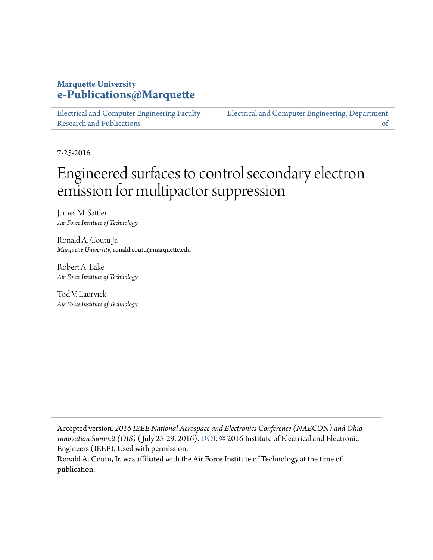## **Marquette University [e-Publications@Marquette](https://epublications.marquette.edu)**

[Electrical and Computer Engineering Faculty](https://epublications.marquette.edu/electric_fac) [Research and Publications](https://epublications.marquette.edu/electric_fac)

[Electrical and Computer Engineering, Department](https://epublications.marquette.edu/electric) [of](https://epublications.marquette.edu/electric)

7-25-2016

## Engineered surfaces to control secondary electron emission for multipactor suppression

James M. Sattler *Air Force Institute of Technology*

Ronald A. Coutu Jr. *Marquette University*, ronald.coutu@marquette.edu

Robert A. Lake *Air Force Institute of Technology*

Tod V. Laurvick *Air Force Institute of Technology*

Accepted version*. 2016 IEEE National Aerospace and Electronics Conference (NAECON) and Ohio Innovation Summit (OIS)* ( July 25-29, 2016). [DOI](https://doi.org/10.1109/NAECON.2016.7856818). © 2016 Institute of Electrical and Electronic Engineers (IEEE). Used with permission.

Ronald A. Coutu, Jr. was affiliated with the Air Force Institute of Technology at the time of publication.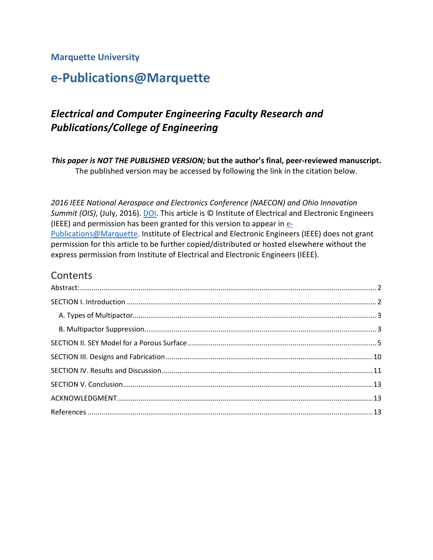#### **Marquette University**

## **e-Publications@Marquette**

## *Electrical and Computer Engineering Faculty Research and Publications/College of Engineering*

*This paper is NOT THE PUBLISHED VERSION;* **but the author's final, peer-reviewed manuscript.**  The published version may be accessed by following the link in the citation below.

*2016 IEEE National Aerospace and Electronics Conference (NAECON) and Ohio Innovation Summit (OIS)*, (July, 2016). **DOI**. This article is © Institute of Electrical and Electronic Engineers (IEEE) and permission has been granted for this version to appear in [e-](http://epublications.marquette.edu/)[Publications@Marquette.](http://epublications.marquette.edu/) Institute of Electrical and Electronic Engineers (IEEE) does not grant permission for this article to be further copied/distributed or hosted elsewhere without the express permission from Institute of Electrical and Electronic Engineers (IEEE).

#### Contents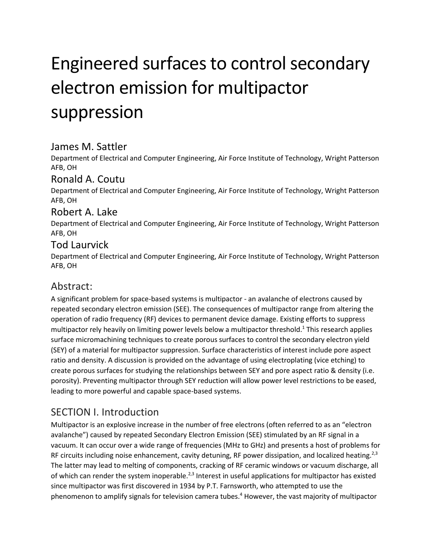# Engineered surfaces to control secondary electron emission for multipactor suppression

## James M. Sattler

Department of Electrical and Computer Engineering, Air Force Institute of Technology, Wright Patterson AFB, OH

## Ronald A. Coutu

Department of Electrical and Computer Engineering, Air Force Institute of Technology, Wright Patterson AFB, OH

#### Robert A. Lake

Department of Electrical and Computer Engineering, Air Force Institute of Technology, Wright Patterson AFB, OH

#### Tod Laurvick

Department of Electrical and Computer Engineering, Air Force Institute of Technology, Wright Patterson AFB, OH

## <span id="page-2-0"></span>Abstract:

A significant problem for space-based systems is multipactor - an avalanche of electrons caused by repeated secondary electron emission (SEE). The consequences of multipactor range from altering the operation of radio frequency (RF) devices to permanent device damage. Existing efforts to suppress multipactor rely heavily on limiting power levels below a multipactor threshold. <sup>1</sup> This research applies surface micromachining techniques to create porous surfaces to control the secondary electron yield (SEY) of a material for multipactor suppression. Surface characteristics of interest include pore aspect ratio and density. A discussion is provided on the advantage of using electroplating (vice etching) to create porous surfaces for studying the relationships between SEY and pore aspect ratio & density (i.e. porosity). Preventing multipactor through SEY reduction will allow power level restrictions to be eased, leading to more powerful and capable space-based systems.

## <span id="page-2-1"></span>SECTION I. Introduction

Multipactor is an explosive increase in the number of free electrons (often referred to as an "electron avalanche") caused by repeated Secondary Electron Emission (SEE) stimulated by an RF signal in a vacuum. It can occur over a wide range of frequencies (MHz to GHz) and presents a host of problems for RF circuits including noise enhancement, cavity detuning, RF power dissipation, and localized heating.<sup>2,3</sup> The latter may lead to melting of components, cracking of RF ceramic windows or vacuum discharge, all of which can render the system inoperable.<sup>2,3</sup> Interest in useful applications for multipactor has existed since multipactor was first discovered in 1934 by P.T. Farnsworth, who attempted to use the phenomenon to amplify signals for television camera tubes. <sup>4</sup> However, the vast majority of multipactor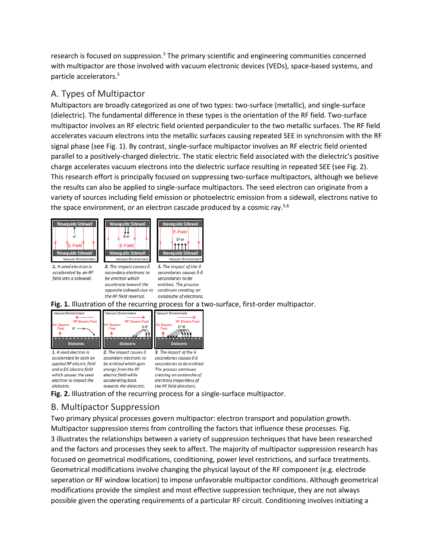research is focused on suppression.<sup>3</sup> The primary scientific and engineering communities concerned with multipactor are those involved with vacuum electronic devices (VEDs), space-based systems, and particle accelerators. 5

#### <span id="page-3-0"></span>A. Types of Multipactor

Multipactors are broadly categorized as one of two types: two-surface (metallic), and single-surface (dielectric). The fundamental difference in these types is the orientation of the RF field. Two-surface multipactor involves an RF electric field oriented perpandiculer to the two metallic surfaces. The RF field accelerates vacuum electrons into the metallic surfaces causing repeated SEE in synchronsim with the RF signal phase (see Fig. 1). By contrast, single-surface multipactor involves an RF electric field oriented parallel to a positively-charged dielectric. The static electric field associated with the dielectric's positive charge accelerates vacuum electrons into the dielectric surface resulting in repeated SEE (see Fig. 2). This research effort is principally focused on suppressing two-surface multipactors, although we believe the results can also be applied to single-surface multipactors. The seed electron can originate from a variety of sources including field emission or photoelectric emission from a sidewall, electrons native to the space environment, or an electron cascade produced by a cosmic ray.<sup>5,6</sup>





1. A seed electron is accelerated by an RF field into a sidewall.

2. The impact causes  $\delta$ secondary electrons to be emitted which accelerate toward the opposite sidewall due to continues creating an the RF field reversal.

**Vacuum Enviro** 3. The impact of the  $\delta$ secondaries causes δ·δ secondaries to be emitted. The process

**Waveguide Sidewall** 

E-Field

 $\delta^2 \cdot e^-$ 

1111

avalanche of electrons. **Fig. 1.** Illustration of the recurring process for a two-surface, first-order multipactor.



**Fig. 2.** Illustration of the recurring process for a single-surface multipactor.

#### <span id="page-3-1"></span>B. Multipactor Suppression

Two primary physical processes govern multipactor: electron transport and population growth. Multipactor suppression sterns from controlling the factors that influence these processes. Fig. 3 illustrates the relationships between a variety of suppression techniques that have been researched and the factors and processes they seek to affect. The majority of multipactor suppression research has focused on geometrical modifications, conditioning, power level restrictions, and surface treatments. Geometrical modifications involve changing the physical layout of the RF component (e.g. electrode seperation or RF window location) to impose unfavorable multipactor conditions. Although geometrical modifications provide the simplest and most effective suppression technique, they are not always possible given the operating requirements of a particular RF circuit. Conditioning involves initiating a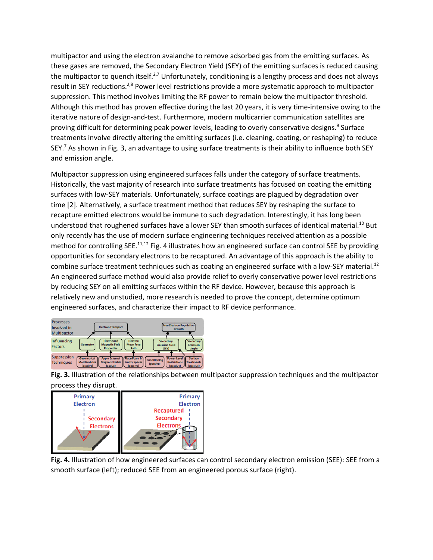multipactor and using the electron avalanche to remove adsorbed gas from the emitting surfaces. As these gases are removed, the Secondary Electron Yield (SEY) of the emitting surfaces is reduced causing the multipactor to quench itself.<sup>2,7</sup> Unfortunately, conditioning is a lengthy process and does not always result in SEY reductions.<sup>2,8</sup> Power level restrictions provide a more systematic approach to multipactor suppression. This method involves limiting the RF power to remain below the multipactor threshold. Although this method has proven effective during the last 20 years, it is very time-intensive owing to the iterative nature of design-and-test. Furthermore, modern multicarrier communication satellites are proving difficult for determining peak power levels, leading to overly conservative designs.<sup>9</sup> Surface treatments involve directly altering the emitting surfaces (i.e. cleaning, coating, or reshaping) to reduce SEY.<sup>7</sup> As shown in Fig. 3, an advantage to using surface treatments is their ability to influence both SEY and emission angle.

Multipactor suppression using engineered surfaces falls under the category of surface treatments. Historically, the vast majority of research into surface treatments has focused on coating the emitting surfaces with low-SEY materials. Unfortunately, surface coatings are plagued by degradation over time [2]. Alternatively, a surface treatment method that reduces SEY by reshaping the surface to recapture emitted electrons would be immune to such degradation. Interestingly, it has long been understood that roughened surfaces have a lower SEY than smooth surfaces of identical material.<sup>10</sup> But only recently has the use of modern surface engineering techniques received attention as a possible method for controlling SEE.<sup>11,12</sup> Fig. 4 illustrates how an engineered surface can control SEE by providing opportunities for secondary electrons to be recaptured. An advantage of this approach is the ability to combine surface treatment techniques such as coating an engineered surface with a low-SEY material.<sup>12</sup> An engineered surface method would also provide relief to overly conservative power level restrictions by reducing SEY on all emitting surfaces within the RF device. However, because this approach is relatively new and unstudied, more research is needed to prove the concept, determine optimum engineered surfaces, and characterize their impact to RF device performance.



**Fig. 3.** Illustration of the relationships between multipactor suppression techniques and the multipactor process they disrupt.



**Fig. 4.** Illustration of how engineered surfaces can control secondary electron emission (SEE): SEE from a smooth surface (left); reduced SEE from an engineered porous surface (right).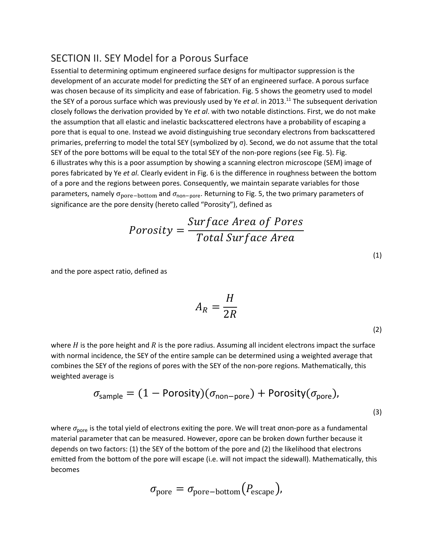#### <span id="page-5-0"></span>SECTION II. SEY Model for a Porous Surface

Essential to determining optimum engineered surface designs for multipactor suppression is the development of an accurate model for predicting the SEY of an engineered surface. A porous surface was chosen because of its simplicity and ease of fabrication. Fig. 5 shows the geometry used to model the SEY of a porous surface which was previously used by Ye *et al*. in 2013. <sup>11</sup> The subsequent derivation closely follows the derivation provided by Ye *et al*. with two notable distinctions. First, we do not make the assumption that all elastic and inelastic backscattered electrons have a probability of escaping a pore that is equal to one. Instead we avoid distinguishing true secondary electrons from backscattered primaries, preferring to model the total SEY (symbolized by σ). Second, we do not assume that the total SEY of the pore bottoms will be equal to the total SEY of the non-pore regions (see Fig. 5). Fig. 6 illustrates why this is a poor assumption by showing a scanning electron microscope (SEM) image of pores fabricated by Ye *et al*. Clearly evident in Fig. 6 is the difference in roughness between the bottom of a pore and the regions between pores. Consequently, we maintain separate variables for those parameters, namely  $\sigma_{\text{pore}-\text{bottom}}$  and  $\sigma_{\text{non-pore}}$ . Returning to Fig. 5, the two primary parameters of significance are the pore density (hereto called "Porosity"), defined as

$$
Porosity = \frac{Surface\ Area\ of\ Pores}{Total\ Surface\ Area}
$$

and the pore aspect ratio, defined as

$$
A_R = \frac{H}{2R}
$$

where  $H$  is the pore height and  $R$  is the pore radius. Assuming all incident electrons impact the surface with normal incidence, the SEY of the entire sample can be determined using a weighted average that combines the SEY of the regions of pores with the SEY of the non-pore regions. Mathematically, this weighted average is

$$
\sigma_{\text{sample}} = (1 - \text{Porosity})(\sigma_{\text{non-pore}}) + \text{Porosity}(\sigma_{\text{pore}}),
$$
\n(3)

where  $\sigma_{\text{pore}}$  is the total yield of electrons exiting the pore. We will treat σnon-pore as a fundamental material parameter that can be measured. However, σpore can be broken down further because it depends on two factors: (1) the SEY of the bottom of the pore and (2) the likelihood that electrons emitted from the bottom of the pore will escape (i.e. will not impact the sidewall). Mathematically, this becomes

$$
\sigma_{\text{pore}} = \sigma_{\text{pore}-\text{bottom}}(P_{\text{escape}}),
$$

(1)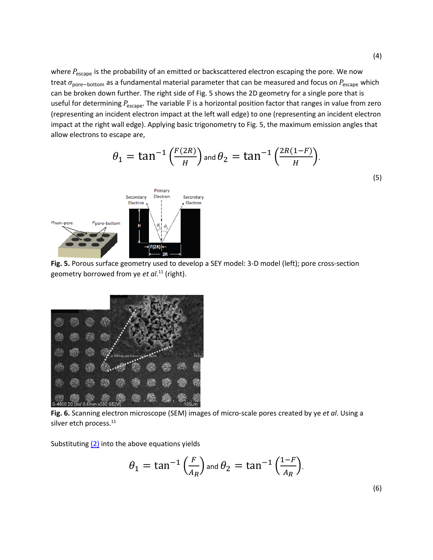where  $P_{\text{escape}}$  is the probability of an emitted or backscattered electron escaping the pore. We now treat  $\sigma_{\text{pore}-\text{bottom}}$  as a fundamental material parameter that can be measured and focus on  $P_{\text{escape}}$  which can be broken down further. The right side of Fig. 5 shows the 2D geometry for a single pore that is useful for determining  $P_{\text{escape}}$ . The variable F is a horizontal position factor that ranges in value from zero (representing an incident electron impact at the left wall edge) to one (representing an incident electron impact at the right wall edge). Applying basic trigonometry to Fig. 5, the maximum emission angles that allow electrons to escape are,

$$
\theta_1 = \tan^{-1}\left(\frac{F(2R)}{H}\right) \text{ and } \theta_2 = \tan^{-1}\left(\frac{2R(1-F)}{H}\right).
$$
\n
$$
\text{Secondary} \left\{\text{Electron} \atop \text{Electron} \atop \text{Electron} \atop \text{of } \text{Electron}}\right\} \tag{5}
$$





pore-bottom

 $\sigma$ non-pore

**Fig. 6.** Scanning electron microscope (SEM) images of micro-scale pores created by ye *et al*. Using a silver etch process. 11

Substituting  $(2)$  into the above equations yields

$$
\theta_1 = \tan^{-1}\left(\frac{F}{A_R}\right)
$$
 and 
$$
\theta_2 = \tan^{-1}\left(\frac{1-F}{A_R}\right).
$$

(6)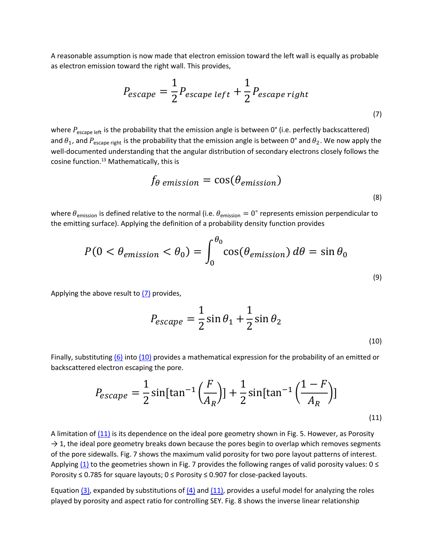A reasonable assumption is now made that electron emission toward the left wall is equally as probable as electron emission toward the right wall. This provides,

$$
P_{escape} = \frac{1}{2} P_{escape\ left} + \frac{1}{2} P_{escape\ right}
$$
\n<sup>(7)</sup>

where  $P_{\text{escape left}}$  is the probability that the emission angle is between 0° (i.e. perfectly backscattered) and  $\theta_1$ , and  $P_{\text{escape right}}$  is the probability that the emission angle is between 0° and  $\theta_2$ . We now apply the well-documented understanding that the angular distribution of secondary electrons closely follows the cosine function. <sup>13</sup> Mathematically, this is

$$
f_{\theta \text{ emission}} = \cos(\theta_{emission})
$$
\n<sup>(8)</sup>

where  $\theta_{\text{emission}}$  is defined relative to the normal (i.e.  $\theta_{\text{emission}} = 0^{\circ}$  represents emission perpendicular to the emitting surface). Applying the definition of a probability density function provides

$$
P(0 < \theta_{emission} < \theta_0) = \int_0^{\theta_0} \cos(\theta_{emission}) d\theta = \sin \theta_0
$$
\n(9)

Applying the above result to  $(7)$  provides,

$$
P_{escape} = \frac{1}{2}\sin\theta_1 + \frac{1}{2}\sin\theta_2
$$
\n<sup>(10)</sup>

Finally, substituting [\(6\)](https://ieeexplore.ieee.org/document/#deqn6) into [\(10\)](https://ieeexplore.ieee.org/document/#deqn10) provides a mathematical expression for the probability of an emitted or backscattered electron escaping the pore.

$$
P_{escape} = \frac{1}{2}\sin[\tan^{-1}\left(\frac{F}{A_R}\right)] + \frac{1}{2}\sin[\tan^{-1}\left(\frac{1-F}{A_R}\right)]
$$
\n(11)

A limitation of  $(11)$  is its dependence on the ideal pore geometry shown in Fig. 5. However, as Porosity  $\rightarrow$  1, the ideal pore geometry breaks down because the pores begin to overlap which removes segments of the pore sidewalls. Fig. 7 shows the maximum valid porosity for two pore layout patterns of interest. Applying [\(1\)](https://ieeexplore.ieee.org/document/#deqn1) to the geometries shown in Fig. 7 provides the following ranges of valid porosity values:  $0 \le$ Porosity ≤ 0.785 for square layouts; 0 ≤ Porosity ≤ 0.907 for close-packed layouts.

Equation  $(3)$ , expanded by substitutions of  $(4)$  and  $(11)$ , provides a useful model for analyzing the roles played by porosity and aspect ratio for controlling SEY. Fig. 8 shows the inverse linear relationship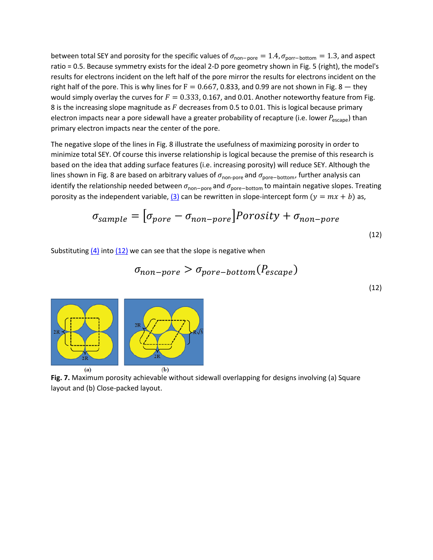between total SEY and porosity for the specific values of  $\sigma_{\text{non-pore}} = 1.4$ ,  $\sigma_{\text{porr}-\text{bottom}} = 1.3$ , and aspect ratio = 0.5. Because symmetry exists for the ideal 2-D pore geometry shown in Fig. 5 (right), the model's results for electrons incident on the left half of the pore mirror the results for electrons incident on the right half of the pore. This is why lines for  $F = 0.667$ , 0.833, and 0.99 are not shown in Fig. 8 – they would simply overlay the curves for  $F = 0.333$ , 0.167, and 0.01. Another noteworthy feature from Fig. 8 is the increasing slope magnitude as  $F$  decreases from 0.5 to 0.01. This is logical because primary electron impacts near a pore sidewall have a greater probability of recapture (i.e. lower  $P_{\text{escape}}$ ) than primary electron impacts near the center of the pore.

The negative slope of the lines in Fig. 8 illustrate the usefulness of maximizing porosity in order to minimize total SEY. Of course this inverse relationship is logical because the premise of this research is based on the idea that adding surface features (i.e. increasing porosity) will reduce SEY. Although the lines shown in Fig. 8 are based on arbitrary values of  $\sigma_{\text{non-pore}}$  and  $\sigma_{\text{pore}-\text{bottom}}$ , further analysis can identify the relationship needed between  $\sigma_{\text{non-pore}}$  and  $\sigma_{\text{pore}-\text{bottom}}$  to maintain negative slopes. Treating porosity as the independent variable,  $(3)$  can be rewritten in slope-intercept form  $(y = mx + b)$  as,

$$
\sigma_{sample} = [\sigma_{pore} - \sigma_{non-pore}] \quad \text{Porosity} + \sigma_{non-pore} \tag{12}
$$

Substituting  $(4)$  into  $(12)$  we can see that the slope is negative when

$$
\sigma_{non-pore} > \sigma_{pore-bottom}(P_{escape})
$$
\n
$$
(12)
$$



**Fig. 7.** Maximum porosity achievable without sidewall overlapping for designs involving (a) Square layout and (b) Close-packed layout.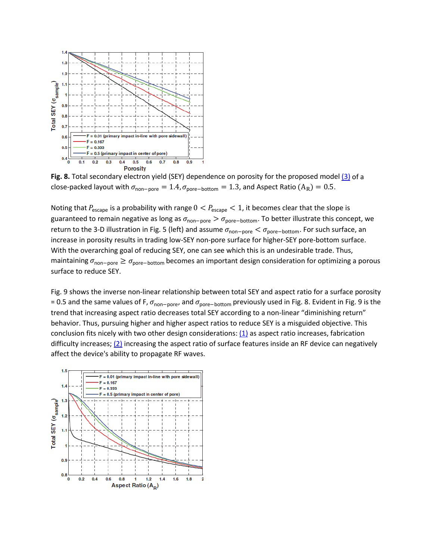

**Fig. 8.** Total secondary electron yield (SEY) dependence on porosity for the proposed model [\(3\)](https://ieeexplore.ieee.org/document/#deqn3) of a close-packed layout with  $\sigma_{\text{non-core}} = 1.4$ ,  $\sigma_{\text{over}-\text{bottom}} = 1.3$ , and Aspect Ratio (A<sub>R</sub>) = 0.5.

Noting that  $P_{\text{escape}}$  is a probability with range  $0 < P_{\text{escape}} < 1$ , it becomes clear that the slope is guaranteed to remain negative as long as  $\sigma_{\text{non-pore}} > \sigma_{\text{pore}-\text{bottom}}$ . To better illustrate this concept, we return to the 3-D illustration in Fig. 5 (left) and assume  $\sigma_{\text{non-pore}} < \sigma_{\text{pore}-\text{bottom}}$ . For such surface, an increase in porosity results in trading low-SEY non-pore surface for higher-SEY pore-bottom surface. With the overarching goal of reducing SEY, one can see which this is an undesirable trade. Thus, maintaining  $\sigma_{\text{non-pore}}$  ≥  $\sigma_{\text{pore}-\text{bottom}}$  becomes an important design consideration for optimizing a porous surface to reduce SEY.

Fig. 9 shows the inverse non-linear relationship between total SEY and aspect ratio for a surface porosity = 0.5 and the same values of F,  $\sigma_{\text{non-pore}}$ , and  $\sigma_{\text{pore}-\text{bottom}}$  previously used in Fig. 8. Evident in Fig. 9 is the trend that increasing aspect ratio decreases total SEY according to a non-linear "diminishing return" behavior. Thus, pursuing higher and higher aspect ratios to reduce SEY is a misguided objective. This conclusion fits nicely with two other design considerations: [\(1\)](https://ieeexplore.ieee.org/document/#deqn1) as aspect ratio increases, fabrication difficulty increases;  $(2)$  increasing the aspect ratio of surface features inside an RF device can negatively affect the device's ability to propagate RF waves.

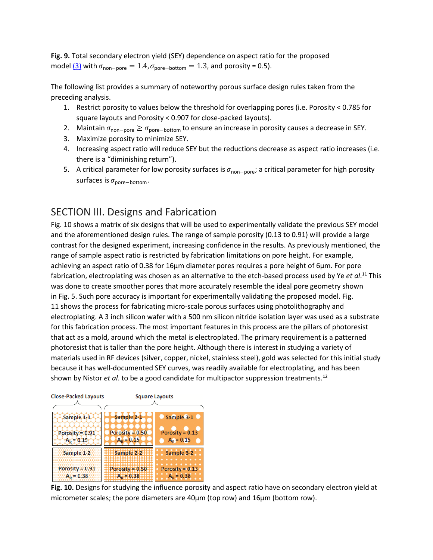**Fig. 9.** Total secondary electron yield (SEY) dependence on aspect ratio for the proposed model  $(3)$  with  $\sigma_{\text{non-pore}} = 1.4$ ,  $\sigma_{\text{oore}-\text{bottom}} = 1.3$ , and porosity = 0.5).

The following list provides a summary of noteworthy porous surface design rules taken from the preceding analysis.

- 1. Restrict porosity to values below the threshold for overlapping pores (i.e. Porosity < 0.785 for square layouts and Porosity < 0.907 for close-packed layouts).
- 2. Maintain  $\sigma_{\text{non-pore}} \ge \sigma_{\text{pore}-\text{bottom}}$  to ensure an increase in porosity causes a decrease in SEY.
- 3. Maximize porosity to minimize SEY.
- 4. Increasing aspect ratio will reduce SEY but the reductions decrease as aspect ratio increases (i.e. there is a "diminishing return").
- 5. A critical parameter for low porosity surfaces is  $\sigma_{\text{non-pore}}$ ; a critical parameter for high porosity surfaces is  $\sigma_{\text{pore}-\text{bottom}}$ .

## <span id="page-10-0"></span>SECTION III. Designs and Fabrication

Fig. 10 shows a matrix of six designs that will be used to experimentally validate the previous SEY model and the aforementioned design rules. The range of sample porosity (0.13 to 0.91) will provide a large contrast for the designed experiment, increasing confidence in the results. As previously mentioned, the range of sample aspect ratio is restricted by fabrication limitations on pore height. For example, achieving an aspect ratio of 0.38 for 16μm diameter pores requires a pore height of 6μm. For pore fabrication, electroplating was chosen as an alternative to the etch-based process used by Ye *et al*.<sup>11</sup> This was done to create smoother pores that more accurately resemble the ideal pore geometry shown in Fig. 5. Such pore accuracy is important for experimentally validating the proposed model. Fig. 11 shows the process for fabricating micro-scale porous surfaces using photolithography and electroplating. A 3 inch silicon wafer with a 500 nm silicon nitride isolation layer was used as a substrate for this fabrication process. The most important features in this process are the pillars of photoresist that act as a mold, around which the metal is electroplated. The primary requirement is a patterned photoresist that is taller than the pore height. Although there is interest in studying a variety of materials used in RF devices (silver, copper, nickel, stainless steel), gold was selected for this initial study because it has well-documented SEY curves, was readily available for electroplating, and has been shown by Nistor *et al*. to be a good candidate for multipactor suppression treatments. 12

#### **Close-Packed Layouts**

**Square Layouts** 



**Fig. 10.** Designs for studying the influence porosity and aspect ratio have on secondary electron yield at micrometer scales; the pore diameters are 40μm (top row) and 16μm (bottom row).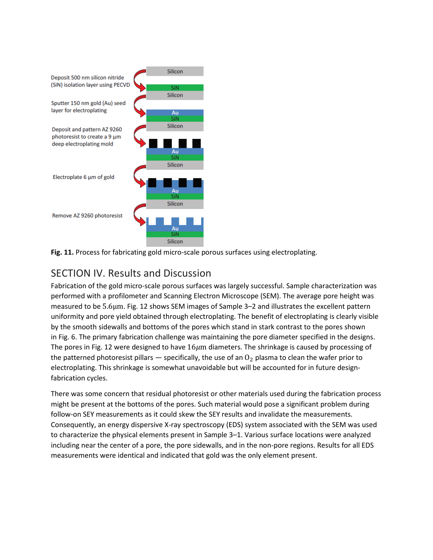

<span id="page-11-0"></span>

## SECTION IV. Results and Discussion

Fabrication of the gold micro-scale porous surfaces was largely successful. Sample characterization was performed with a profilometer and Scanning Electron Microscope (SEM). The average pore height was measured to be 5.6µm. Fig. 12 shows SEM images of Sample 3–2 and illustrates the excellent pattern uniformity and pore yield obtained through electroplating. The benefit of electroplating is clearly visible by the smooth sidewalls and bottoms of the pores which stand in stark contrast to the pores shown in Fig. 6. The primary fabrication challenge was maintaining the pore diameter specified in the designs. The pores in Fig. 12 were designed to have  $16\mu m$  diameters. The shrinkage is caused by processing of the patterned photoresist pillars  $-$  specifically, the use of an  $0<sub>2</sub>$  plasma to clean the wafer prior to electroplating. This shrinkage is somewhat unavoidable but will be accounted for in future designfabrication cycles.

There was some concern that residual photoresist or other materials used during the fabrication process might be present at the bottoms of the pores. Such material would pose a significant problem during follow-on SEY measurements as it could skew the SEY results and invalidate the measurements. Consequently, an energy dispersive X-ray spectroscopy (EDS) system associated with the SEM was used to characterize the physical elements present in Sample 3–1. Various surface locations were analyzed including near the center of a pore, the pore sidewalls, and in the non-pore regions. Results for all EDS measurements were identical and indicated that gold was the only element present.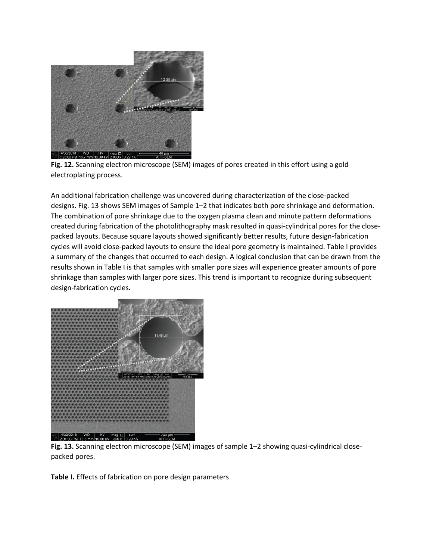

**Fig. 12.** Scanning electron microscope (SEM) images of pores created in this effort using a gold electroplating process.

An additional fabrication challenge was uncovered during characterization of the close-packed designs. Fig. 13 shows SEM images of Sample 1–2 that indicates both pore shrinkage and deformation. The combination of pore shrinkage due to the oxygen plasma clean and minute pattern deformations created during fabrication of the photolithography mask resulted in quasi-cylindrical pores for the closepacked layouts. Because square layouts showed significantly better results, future design-fabrication cycles will avoid close-packed layouts to ensure the ideal pore geometry is maintained. Table I provides a summary of the changes that occurred to each design. A logical conclusion that can be drawn from the results shown in Table I is that samples with smaller pore sizes will experience greater amounts of pore shrinkage than samples with larger pore sizes. This trend is important to recognize during subsequent design-fabrication cycles.



**Fig. 13.** Scanning electron microscope (SEM) images of sample 1–2 showing quasi-cylindrical closepacked pores.

**Table I.** Effects of fabrication on pore design parameters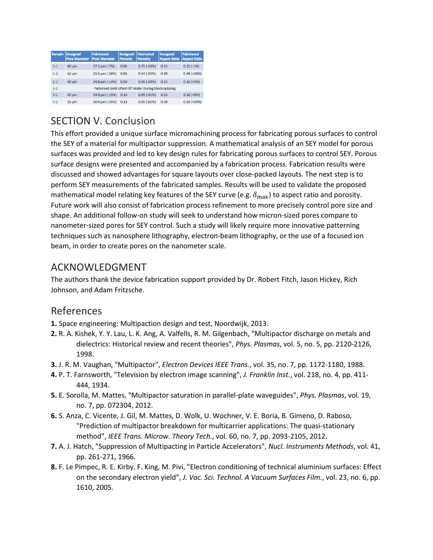| <b>Sample</b> | <b>Designed</b><br><b>Pore Diameter</b>               | <b>Fabricated</b><br><b>Pore Diameter</b> | <b>Designed</b><br><b>Porosity</b> | Fabricated<br><b>Porosity</b> | <b>Designed</b><br><b>Aspect Ratio</b> | <b>Fabricated</b><br><b>Aspect Ratio</b> |  |  |
|---------------|-------------------------------------------------------|-------------------------------------------|------------------------------------|-------------------------------|----------------------------------------|------------------------------------------|--|--|
| $1 - 1$       | $40 \mu m$                                            | $37.2 \,\mathrm{\mu m}$ (-7%)             | 0.91                               | $0.75(-18%)$                  | 0.15                                   | $0.15(-1%)$                              |  |  |
| $1 - 2$       | $16 \text{ µm}$                                       | 11.5 um (-28%)                            | 0.91                               | $0.44(-52%)$                  | 0.38                                   | $0.48 (+25%)$                            |  |  |
| $2 - 1$       | 40 um                                                 | 34.8 um (-13%)                            | 0.50                               | $0.36(-28%)$                  | 0.15                                   | $0.16 (+5%)$                             |  |  |
| $2 - 2$       | Patterned Gold Lifted Off Wafer During Electroplating |                                           |                                    |                               |                                        |                                          |  |  |
| $3 - 1$       | 40 um                                                 | 34.0 um (-15%)                            | 0.13                               | $0.09(-31%)$                  | 0.15                                   | $0.16 (+8%)$                             |  |  |
| $3-2$         | $16 \mu m$                                            | 10.4 um (-35%)                            | 0.13                               | $0.05(-62%)$                  | 0.38                                   | $0.53(+39%)$                             |  |  |

## <span id="page-13-0"></span>SECTION V. Conclusion

This effort provided a unique surface micromachining process for fabricating porous surfaces to control the SEY of a material for multipactor suppression. A mathematical analysis of an SEY model for porous surfaces was provided and led to key design rules for fabricating porous surfaces to control SEY. Porous surface designs were presented and accompanied by a fabrication process. Fabrication results were discussed and showed advantages for square layouts over close-packed layouts. The next step is to perform SEY measurements of the fabricated samples. Results will be used to validate the proposed mathematical model relating key features of the SEY curve (e.g.  $\delta_{\text{max}}$ ) to aspect ratio and porosity. Future work will also consist of fabrication process refinement to more precisely control pore size and shape. An additional follow-on study will seek to understand how micron-sized pores compare to nanometer-sized pores for SEY control. Such a study will likely require more innovative patterning techniques such as nanosphere lithography, electron-beam lithography, or the use of a focused ion beam, in order to create pores on the nanometer scale.

## <span id="page-13-1"></span>ACKNOWLEDGMENT

The authors thank the device fabrication support provided by Dr. Robert Fitch, Jason Hickey, Rich Johnson, and Adam Fritzsche.

## <span id="page-13-2"></span>References

- **1.** Space engineering: Multipaction design and test, Noordwijk, 2013.
- **2.** R. A. Kishek, Y. Y. Lau, L. K. Ang, A. Valfells, R. M. Gilgenbach, "Multipactor discharge on metals and dielectrics: Historical review and recent theories", *Phys. Plasmas*, vol. 5, no. 5, pp. 2120-2126, 1998.
- **3.** J. R. M. Vaughan, "Multipactor", *Electron Devices IEEE Trans.*, vol. 35, no. 7, pp. 1172-1180, 1988.
- **4.** P. T. Farnsworth, "Television by electron image scanning", *J. Franklin Inst.*, vol. 218, no. 4, pp. 411- 444, 1934.
- **5.** E. Sorolla, M. Mattes, "Multipactor saturation in parallel-plate waveguides", *Phys. Plasmas*, vol. 19, no. 7, pp. 072304, 2012.
- **6.** S. Anza, C. Vicente, J. Gil, M. Mattes, D. Wolk, U. Wochner, V. E. Boria, B. Gimeno, D. Raboso, "Prediction of multipactor breakdown for multicarrier applications: The quasi-stationary method", *IEEE Trans. Microw. Theory Tech.*, vol. 60, no. 7, pp. 2093-2105, 2012.
- **7.** A. J. Hatch, "Suppression of Multipacting in Particle Accelerators", *Nucl. Instruments Methods*, vol. 41, pp. 261-271, 1966.
- **8.** F. Le Pimpec, R. E. Kirby, F. King, M. Pivi, "Electron conditioning of technical aluminium surfaces: Effect on the secondary electron yield", *J. Vac. Sci. Technol. A Vacuum Surfaces Film.*, vol. 23, no. 6, pp. 1610, 2005.